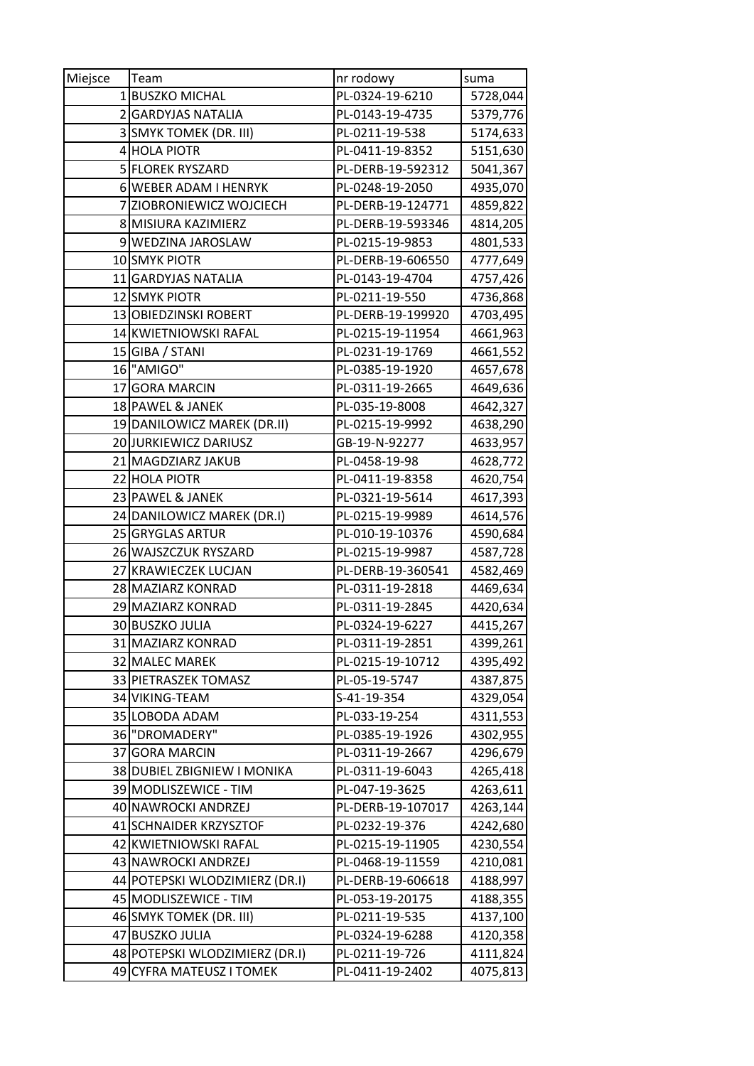| Miejsce | Team                           | nr rodowy         | suma     |
|---------|--------------------------------|-------------------|----------|
| 1       | <b>BUSZKO MICHAL</b>           | PL-0324-19-6210   | 5728,044 |
|         | 2 GARDYJAS NATALIA             | PL-0143-19-4735   | 5379,776 |
|         | 3 SMYK TOMEK (DR. III)         | PL-0211-19-538    | 5174,633 |
| 4       | <b>HOLA PIOTR</b>              | PL-0411-19-8352   | 5151,630 |
|         | 5 FLOREK RYSZARD               | PL-DERB-19-592312 | 5041,367 |
|         | 6 WEBER ADAM I HENRYK          | PL-0248-19-2050   | 4935,070 |
| 7       | ZIOBRONIEWICZ WOJCIECH         | PL-DERB-19-124771 | 4859,822 |
|         | 8 MISIURA KAZIMIERZ            | PL-DERB-19-593346 | 4814,205 |
|         | 9 WEDZINA JAROSLAW             | PL-0215-19-9853   | 4801,533 |
|         | 10 SMYK PIOTR                  | PL-DERB-19-606550 | 4777,649 |
|         | 11 GARDYJAS NATALIA            | PL-0143-19-4704   | 4757,426 |
|         | 12 SMYK PIOTR                  | PL-0211-19-550    | 4736,868 |
|         | 13 OBIEDZINSKI ROBERT          | PL-DERB-19-199920 | 4703,495 |
|         | 14 KWIETNIOWSKI RAFAL          | PL-0215-19-11954  | 4661,963 |
|         | 15 GIBA / STANI                | PL-0231-19-1769   | 4661,552 |
|         | 16 "AMIGO"                     | PL-0385-19-1920   | 4657,678 |
|         | 17 GORA MARCIN                 | PL-0311-19-2665   | 4649,636 |
|         | 18 PAWEL & JANEK               | PL-035-19-8008    | 4642,327 |
|         | 19 DANILOWICZ MAREK (DR.II)    | PL-0215-19-9992   | 4638,290 |
|         | 20 JURKIEWICZ DARIUSZ          | GB-19-N-92277     | 4633,957 |
|         | 21 MAGDZIARZ JAKUB             | PL-0458-19-98     | 4628,772 |
|         | 22 HOLA PIOTR                  | PL-0411-19-8358   | 4620,754 |
|         | 23 PAWEL & JANEK               | PL-0321-19-5614   | 4617,393 |
|         | 24 DANILOWICZ MAREK (DR.I)     | PL-0215-19-9989   | 4614,576 |
|         | 25 GRYGLAS ARTUR               | PL-010-19-10376   | 4590,684 |
|         | 26 WAJSZCZUK RYSZARD           | PL-0215-19-9987   | 4587,728 |
| 27      | <b>KRAWIECZEK LUCJAN</b>       | PL-DERB-19-360541 | 4582,469 |
|         | 28 MAZIARZ KONRAD              | PL-0311-19-2818   | 4469,634 |
|         | 29 MAZIARZ KONRAD              | PL-0311-19-2845   | 4420,634 |
|         | 30 BUSZKO JULIA                | PL-0324-19-6227   | 4415,267 |
|         | 31 MAZIARZ KONRAD              | PL-0311-19-2851   | 4399,261 |
|         | 32 MALEC MAREK                 | PL-0215-19-10712  | 4395,492 |
|         | 33 PIETRASZEK TOMASZ           | PL-05-19-5747     | 4387,875 |
|         | 34 VIKING-TEAM                 | S-41-19-354       | 4329,054 |
|         | 35 LOBODA ADAM                 | PL-033-19-254     | 4311,553 |
|         | 36 "DROMADERY"                 | PL-0385-19-1926   | 4302,955 |
| 37      | <b>GORA MARCIN</b>             | PL-0311-19-2667   | 4296,679 |
|         | 38 DUBIEL ZBIGNIEW I MONIKA    | PL-0311-19-6043   | 4265,418 |
|         | 39 MODLISZEWICE - TIM          | PL-047-19-3625    | 4263,611 |
|         | 40 NAWROCKI ANDRZEJ            | PL-DERB-19-107017 | 4263,144 |
|         | 41 SCHNAIDER KRZYSZTOF         | PL-0232-19-376    | 4242,680 |
|         | 42 KWIETNIOWSKI RAFAL          | PL-0215-19-11905  | 4230,554 |
|         | 43 NAWROCKI ANDRZEJ            | PL-0468-19-11559  | 4210,081 |
|         | 44 POTEPSKI WLODZIMIERZ (DR.I) | PL-DERB-19-606618 | 4188,997 |
|         | 45 MODLISZEWICE - TIM          | PL-053-19-20175   | 4188,355 |
|         | 46 SMYK TOMEK (DR. III)        | PL-0211-19-535    | 4137,100 |
| 47      | <b>BUSZKO JULIA</b>            | PL-0324-19-6288   | 4120,358 |
|         | 48 POTEPSKI WLODZIMIERZ (DR.I) | PL-0211-19-726    | 4111,824 |
|         | 49 CYFRA MATEUSZ I TOMEK       | PL-0411-19-2402   | 4075,813 |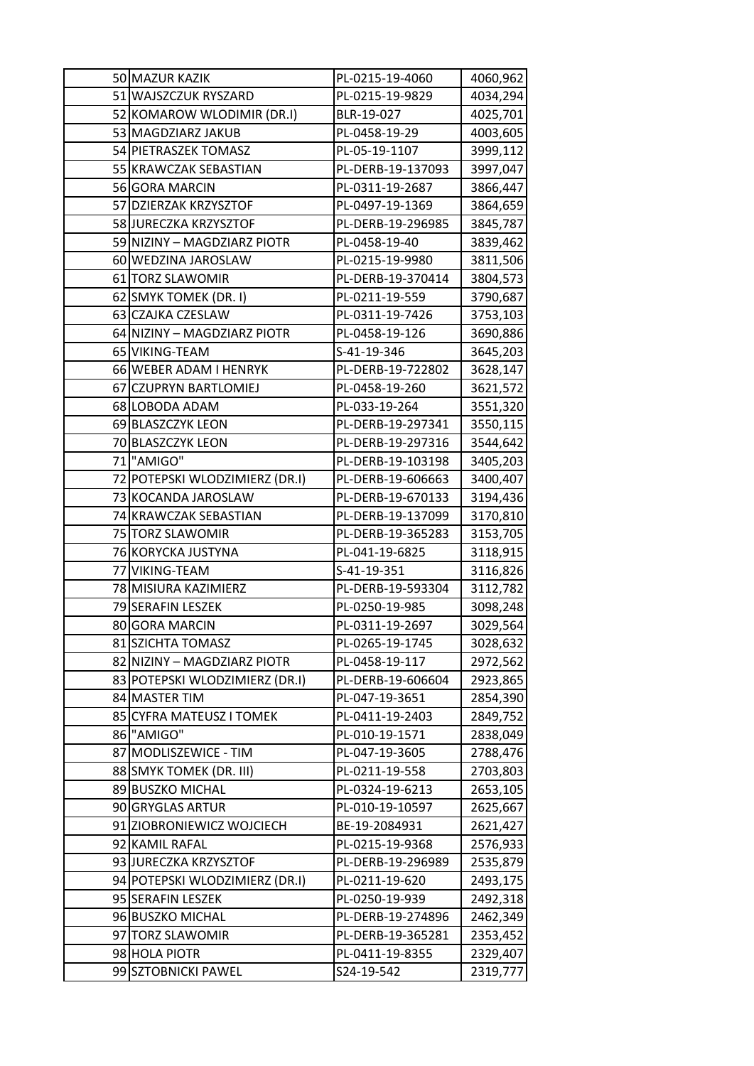| 50 MAZUR KAZIK                 | PL-0215-19-4060   | 4060,962 |
|--------------------------------|-------------------|----------|
| 51 WAJSZCZUK RYSZARD           | PL-0215-19-9829   | 4034,294 |
| 52 KOMAROW WLODIMIR (DR.I)     | BLR-19-027        | 4025,701 |
| 53 MAGDZIARZ JAKUB             | PL-0458-19-29     | 4003,605 |
| 54 PIETRASZEK TOMASZ           | PL-05-19-1107     | 3999,112 |
| 55 KRAWCZAK SEBASTIAN          | PL-DERB-19-137093 | 3997,047 |
| 56 GORA MARCIN                 | PL-0311-19-2687   | 3866,447 |
| 57 DZIERZAK KRZYSZTOF          | PL-0497-19-1369   | 3864,659 |
| 58 JURECZKA KRZYSZTOF          | PL-DERB-19-296985 | 3845,787 |
| 59 NIZINY - MAGDZIARZ PIOTR    | PL-0458-19-40     | 3839,462 |
| 60 WEDZINA JAROSLAW            | PL-0215-19-9980   | 3811,506 |
| 61 TORZ SLAWOMIR               | PL-DERB-19-370414 | 3804,573 |
| 62 SMYK TOMEK (DR. I)          | PL-0211-19-559    | 3790,687 |
| 63 CZAJKA CZESLAW              | PL-0311-19-7426   | 3753,103 |
| 64 NIZINY - MAGDZIARZ PIOTR    | PL-0458-19-126    | 3690,886 |
| 65 VIKING-TEAM                 | S-41-19-346       | 3645,203 |
| 66 WEBER ADAM I HENRYK         | PL-DERB-19-722802 | 3628,147 |
| 67 CZUPRYN BARTLOMIEJ          | PL-0458-19-260    | 3621,572 |
| 68 LOBODA ADAM                 | PL-033-19-264     | 3551,320 |
| 69 BLASZCZYK LEON              | PL-DERB-19-297341 | 3550,115 |
| 70 BLASZCZYK LEON              | PL-DERB-19-297316 | 3544,642 |
| 71 "AMIGO"                     | PL-DERB-19-103198 | 3405,203 |
| 72 POTEPSKI WLODZIMIERZ (DR.I) | PL-DERB-19-606663 | 3400,407 |
| 73 KOCANDA JAROSLAW            | PL-DERB-19-670133 | 3194,436 |
| 74 KRAWCZAK SEBASTIAN          | PL-DERB-19-137099 | 3170,810 |
| 75 TORZ SLAWOMIR               | PL-DERB-19-365283 | 3153,705 |
| 76 KORYCKA JUSTYNA             | PL-041-19-6825    | 3118,915 |
| 77 VIKING-TEAM                 | S-41-19-351       | 3116,826 |
| 78 MISIURA KAZIMIERZ           | PL-DERB-19-593304 | 3112,782 |
| 79 SERAFIN LESZEK              | PL-0250-19-985    | 3098,248 |
| 80 GORA MARCIN                 | PL-0311-19-2697   | 3029,564 |
| 81 SZICHTA TOMASZ              | PL-0265-19-1745   | 3028,632 |
| 82 NIZINY - MAGDZIARZ PIOTR    | PL-0458-19-117    | 2972,562 |
| 83 POTEPSKI WLODZIMIERZ (DR.I) | PL-DERB-19-606604 | 2923,865 |
| 84 MASTER TIM                  | PL-047-19-3651    | 2854,390 |
| 85 CYFRA MATEUSZ I TOMEK       | PL-0411-19-2403   | 2849,752 |
| 86 "AMIGO"                     | PL-010-19-1571    | 2838,049 |
| 87 MODLISZEWICE - TIM          | PL-047-19-3605    | 2788,476 |
| 88 SMYK TOMEK (DR. III)        | PL-0211-19-558    | 2703,803 |
| 89 BUSZKO MICHAL               | PL-0324-19-6213   | 2653,105 |
| 90 GRYGLAS ARTUR               | PL-010-19-10597   | 2625,667 |
| 91 ZIOBRONIEWICZ WOJCIECH      | BE-19-2084931     | 2621,427 |
| 92 KAMIL RAFAL                 | PL-0215-19-9368   | 2576,933 |
| 93 JURECZKA KRZYSZTOF          | PL-DERB-19-296989 | 2535,879 |
| 94 POTEPSKI WLODZIMIERZ (DR.I) | PL-0211-19-620    | 2493,175 |
| 95 SERAFIN LESZEK              | PL-0250-19-939    | 2492,318 |
| 96 BUSZKO MICHAL               | PL-DERB-19-274896 | 2462,349 |
| 97 TORZ SLAWOMIR               | PL-DERB-19-365281 | 2353,452 |
| 98 HOLA PIOTR                  | PL-0411-19-8355   | 2329,407 |
| 99 SZTOBNICKI PAWEL            | S24-19-542        | 2319,777 |